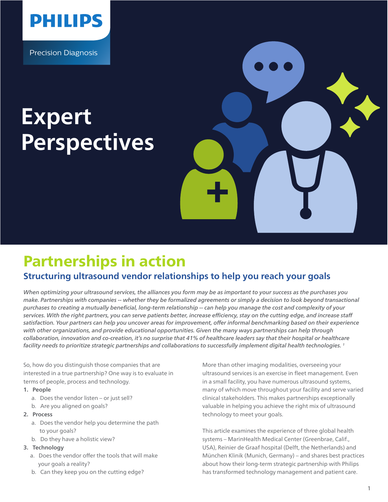

Precision Diagnosis

# **Expert Perspectives**



# Partnerships in action

# **Structuring ultrasound vendor relationships to help you reach your goals**

*When optimizing your ultrasound services, the alliances you form may be as important to your success as the purchases you make. Partnerships with companies -- whether they be formalized agreements or simply a decision to look beyond transactional*  purchases to creating a mutually beneficial, long-term relationship -- can help you manage the cost and complexity of your services. With the right partners, you can serve patients better, increase efficiency, stay on the cutting edge, and increase staff satisfaction. Your partners can help you uncover areas for improvement, offer informal benchmarking based on their experience *with other organizations, and provide educational opportunities. Given the many ways partnerships can help through collaboration, innovation and co-creation, it's no surprise that 41% of healthcare leaders say that their hospital or healthcare facility needs to prioritize strategic partnerships and collaborations to successfully implement digital health technologies. 1*

So, how do you distinguish those companies that are interested in a true partnership? One way is to evaluate in terms of people, process and technology.

- **1. People**
	- a. Does the vendor listen or just sell?
	- b. Are you aligned on goals?
- **2. Process**
	- a. Does the vendor help you determine the path to your goals?
	- b. Do they have a holistic view?

#### **3. Technology**

- a. Does the vendor offer the tools that will make your goals a reality?
- b. Can they keep you on the cutting edge?

More than other imaging modalities, overseeing your ultrasound services is an exercise in fleet management. Even in a small facility, you have numerous ultrasound systems, many of which move throughout your facility and serve varied clinical stakeholders. This makes partnerships exceptionally valuable in helping you achieve the right mix of ultrasound technology to meet your goals.

This article examines the experience of three global health systems – MarinHealth Medical Center (Greenbrae, Calif., USA), Reinier de Graaf hospital (Delft, the Netherlands) and München Klinik (Munich, Germany) – and shares best practices about how their long-term strategic partnership with Philips has transformed technology management and patient care.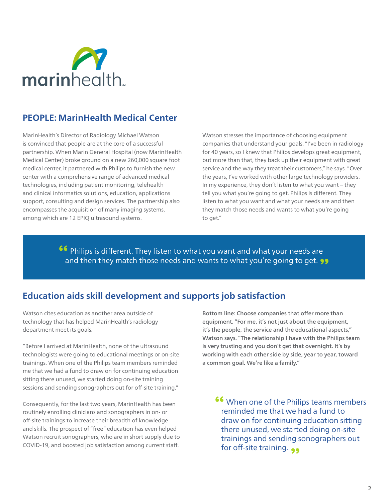

# **PEOPLE: MarinHealth Medical Center**

MarinHealth's Director of Radiology Michael Watson is convinced that people are at the core of a successful partnership. When Marin General Hospital (now MarinHealth Medical Center) broke ground on a new 260,000 square foot medical center, it partnered with Philips to furnish the new center with a comprehensive range of advanced medical technologies, including patient monitoring, telehealth and clinical informatics solutions, education, applications support, consulting and design services. The partnership also encompasses the acquisition of many imaging systems, among which are 12 EPIQ ultrasound systems.

Watson stresses the importance of choosing equipment companies that understand your goals. "I've been in radiology for 40 years, so I knew that Philips develops great equipment, but more than that, they back up their equipment with great service and the way they treat their customers," he says. "Over the years, I've worked with other large technology providers. In my experience, they don't listen to what you want – they tell you what you're going to get. Philips is different. They listen to what you want and what your needs are and then they match those needs and wants to what you're going to get."

**<sup>66</sup>** Philips is different. They listen to what you want and what your needs are and then they match those needs and wants to what you're going to get.

# **Education aids skill development and supports job satisfaction**

Watson cites education as another area outside of technology that has helped MarinHealth's radiology department meet its goals.

"Before I arrived at MarinHealth, none of the ultrasound technologists were going to educational meetings or on-site trainings. When one of the Philips team members reminded me that we had a fund to draw on for continuing education sitting there unused, we started doing on-site training sessions and sending sonographers out for off-site training."

Consequently, for the last two years, MarinHealth has been routinely enrolling clinicians and sonographers in on- or off-site trainings to increase their breadth of knowledge and skills. The prospect of "free" education has even helped Watson recruit sonographers, who are in short supply due to COVID-19, and boosted job satisfaction among current staff.

Bottom line: Choose companies that offer more than equipment. "For me, it's not just about the equipment, it's the people, the service and the educational aspects," Watson says. "The relationship I have with the Philips team is very trusting and you don't get that overnight. It's by working with each other side by side, year to year, toward a common goal. We're like a family."

When one of the Philips teams members **"** reminded me that we had a fund to draw on for continuing education sitting there unused, we started doing on-site trainings and sending sonographers out for off-site training.  $\bullet\bullet$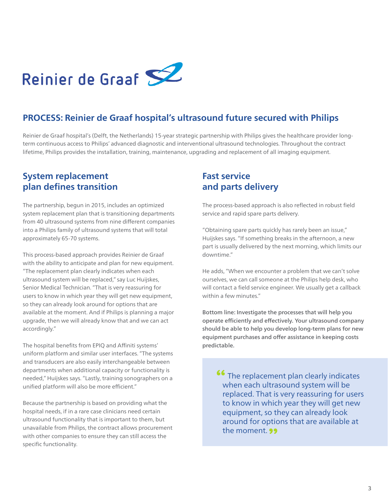

# **PROCESS: Reinier de Graaf hospital's ultrasound future secured with Philips**

Reinier de Graaf hospital's (Delft, the Netherlands) 15-year strategic partnership with Philips gives the healthcare provider longterm continuous access to Philips' advanced diagnostic and interventional ultrasound technologies. Throughout the contract lifetime, Philips provides the installation, training, maintenance, upgrading and replacement of all imaging equipment.

### **System replacement plan defines transition**

The partnership, begun in 2015, includes an optimized system replacement plan that is transitioning departments from 40 ultrasound systems from nine different companies into a Philips family of ultrasound systems that will total approximately 65-70 systems.

This process-based approach provides Reinier de Graaf with the ability to anticipate and plan for new equipment. "The replacement plan clearly indicates when each ultrasound system will be replaced," say Luc Huijskes, Senior Medical Technician. "That is very reassuring for users to know in which year they will get new equipment, so they can already look around for options that are available at the moment. And if Philips is planning a major upgrade, then we will already know that and we can act accordingly."

The hospital benefits from EPIQ and Affiniti systems' uniform platform and similar user interfaces. "The systems and transducers are also easily interchangeable between departments when additional capacity or functionality is needed," Huijskes says. "Lastly, training sonographers on a unified platform will also be more efficient."

Because the partnership is based on providing what the hospital needs, if in a rare case clinicians need certain ultrasound functionality that is important to them, but unavailable from Philips, the contract allows procurement with other companies to ensure they can still access the specific functionality.

## **Fast service and parts delivery**

The process-based approach is also reflected in robust field service and rapid spare parts delivery.

"Obtaining spare parts quickly has rarely been an issue," Huijskes says. "If something breaks in the afternoon, a new part is usually delivered by the next morning, which limits our downtime."

He adds, "When we encounter a problem that we can't solve ourselves, we can call someone at the Philips help desk, who will contact a field service engineer. We usually get a callback within a few minutes."

Bottom line: Investigate the processes that will help you operate efficiently and effectively. Your ultrasound company should be able to help you develop long-term plans for new equipment purchases and offer assistance in keeping costs predictable.

**<sup>66</sup>** The replacement plan clearly indicates when each ultrasound system will be replaced. That is very reassuring for users to know in which year they will get new equipment, so they can already look around for options that are available at the moment. **99**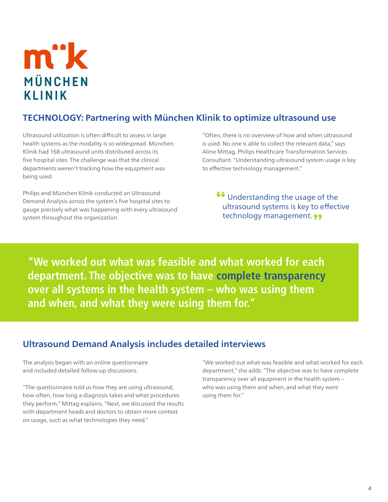# m"k MÜNCHEN **KLINIK**

# **TECHNOLOGY: Partnering with München Klinik to optimize ultrasound use**

Ultrasound utilization is often difficult to assess in large health systems as the modality is so widespread. München Klinik had 168 ultrasound units distributed across its five hospital sites. The challenge was that the clinical departments weren't tracking how the equipment was being used.

Philips and München Klinik conducted an Ultrasound Demand Analysis across the system's five hospital sites to gauge precisely what was happening with every ultrasound system throughout the organization.

"Often, there is no overview of how and when ultrasound is used. No one is able to collect the relevant data," says Aline Mittag, Philips Healthcare Transformation Services Consultant. "Understanding ultrasound system usage is key to effective technology management."

**46** Understanding the usage of the ultrasound systems is key to effective technology management. **99** 

**"We worked out what was feasible and what worked for each department. The objective was to have complete transparency over all systems in the health system – who was using them and when, and what they were using them for."** 

# **Ultrasound Demand Analysis includes detailed interviews**

The analysis began with an online questionnaire and included detailed follow-up discussions.

"The questionnaire told us how they are using ultrasound, how often, how long a diagnosis takes and what procedures they perform," Mittag explains. "Next, we discussed the results with department heads and doctors to obtain more context on usage, such as what technologies they need."

"We worked out what was feasible and what worked for each department," she adds. "The objective was to have complete transparency over all equipment in the health system – who was using them and when, and what they were using them for."